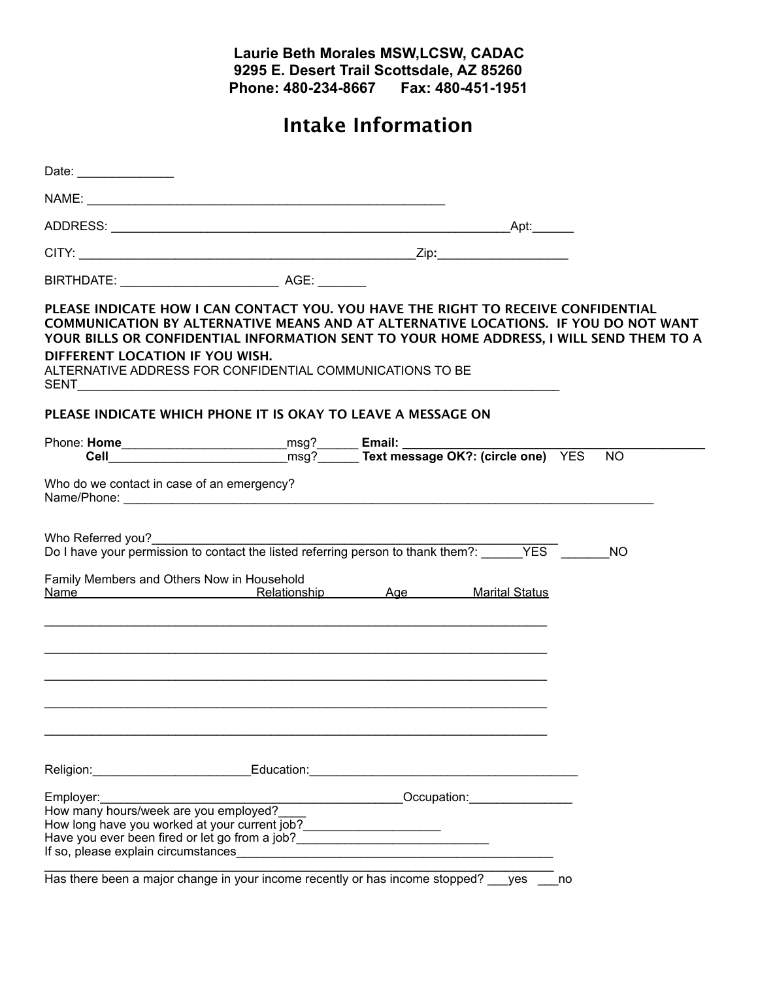## **Laurie Beth Morales MSW,LCSW, CADAC 9295 E. Desert Trail Scottsdale, AZ 85260 Phone: 480-234-8667 Fax: 480-451-1951**

## **Intake Information**

| Date: _____________                                                                                                                                                                                                                                                                                                                                                                                                                                |  |                                                                                                                |           |
|----------------------------------------------------------------------------------------------------------------------------------------------------------------------------------------------------------------------------------------------------------------------------------------------------------------------------------------------------------------------------------------------------------------------------------------------------|--|----------------------------------------------------------------------------------------------------------------|-----------|
|                                                                                                                                                                                                                                                                                                                                                                                                                                                    |  |                                                                                                                |           |
|                                                                                                                                                                                                                                                                                                                                                                                                                                                    |  |                                                                                                                |           |
|                                                                                                                                                                                                                                                                                                                                                                                                                                                    |  |                                                                                                                |           |
|                                                                                                                                                                                                                                                                                                                                                                                                                                                    |  |                                                                                                                |           |
| PLEASE INDICATE HOW I CAN CONTACT YOU. YOU HAVE THE RIGHT TO RECEIVE CONFIDENTIAL<br>COMMUNICATION BY ALTERNATIVE MEANS AND AT ALTERNATIVE LOCATIONS. IF YOU DO NOT WANT<br>YOUR BILLS OR CONFIDENTIAL INFORMATION SENT TO YOUR HOME ADDRESS, I WILL SEND THEM TO A<br>DIFFERENT LOCATION IF YOU WISH.<br>ALTERNATIVE ADDRESS FOR CONFIDENTIAL COMMUNICATIONS TO BE<br><b>SENT SENT</b>                                                            |  |                                                                                                                |           |
| PLEASE INDICATE WHICH PHONE IT IS OKAY TO LEAVE A MESSAGE ON                                                                                                                                                                                                                                                                                                                                                                                       |  |                                                                                                                |           |
|                                                                                                                                                                                                                                                                                                                                                                                                                                                    |  |                                                                                                                | <b>NO</b> |
| Who do we contact in case of an emergency?                                                                                                                                                                                                                                                                                                                                                                                                         |  |                                                                                                                |           |
| Who Referred you?<br>Do I have your permission to contact the listed referring person to thank them?: _____________________________                                                                                                                                                                                                                                                                                                                |  |                                                                                                                | <b>NO</b> |
| Family Members and Others Now in Household<br>Name Marital Status Relationship Age Marital Status                                                                                                                                                                                                                                                                                                                                                  |  |                                                                                                                |           |
|                                                                                                                                                                                                                                                                                                                                                                                                                                                    |  |                                                                                                                |           |
| Religion: Religion: Religion: Religion: Religion: Religion: Religion: Religion: Religion: Religion: Religion: Religion: Religion: Religion: Religion: Religion: Religion: Religion: Religion: Religion: Religion: Religion: Re                                                                                                                                                                                                                     |  |                                                                                                                |           |
| Employer:<br>How many hours/week are you employed?<br>How long have you worked at your current job?_______________________<br>If so, please explain circumstances <b>container the set of the set of the set of the set of the set of the set of the set of the set of the set of the set of the set of the set of the set of the set of the set of the set of</b><br>Has there been a major change in your income recently or has income stopped? |  | Occupation: Decument of the Contract of the Contract of the Contract of the Contract of the Contract of the Co |           |

Has there been a major change in your income recently or has income stopped? \_\_\_yes \_\_\_no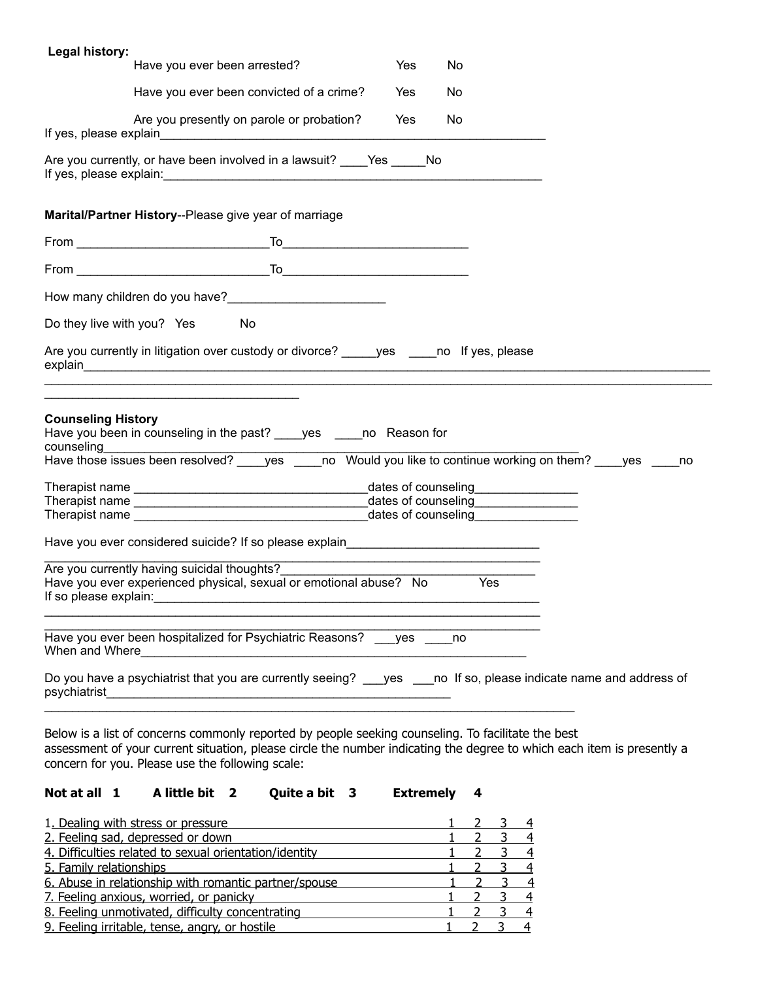| Legal history:                          |                                                                                                                                                                                                                                |     |     |  |
|-----------------------------------------|--------------------------------------------------------------------------------------------------------------------------------------------------------------------------------------------------------------------------------|-----|-----|--|
|                                         | Have you ever been arrested?                                                                                                                                                                                                   | Yes | No  |  |
|                                         | Have you ever been convicted of a crime?                                                                                                                                                                                       | Yes | No  |  |
|                                         | Are you presently on parole or probation?                                                                                                                                                                                      | Yes | No  |  |
|                                         |                                                                                                                                                                                                                                |     |     |  |
|                                         | Marital/Partner History--Please give year of marriage                                                                                                                                                                          |     |     |  |
|                                         |                                                                                                                                                                                                                                |     |     |  |
|                                         |                                                                                                                                                                                                                                |     |     |  |
|                                         |                                                                                                                                                                                                                                |     |     |  |
|                                         | Do they live with you? Yes<br>No                                                                                                                                                                                               |     |     |  |
|                                         | Are you currently in litigation over custody or divorce? yes no If yes, please                                                                                                                                                 |     |     |  |
|                                         |                                                                                                                                                                                                                                |     |     |  |
| <b>Counseling History</b><br>counseling | Have you been in counseling in the past? _____ yes ______ no Reason for                                                                                                                                                        |     |     |  |
|                                         | counseling<br>Have those issues been resolved? _____ yes _____ no Would you like to continue working on them? _____ yes _____ no                                                                                               |     |     |  |
|                                         |                                                                                                                                                                                                                                |     |     |  |
|                                         |                                                                                                                                                                                                                                |     |     |  |
|                                         | Have you ever considered suicide? If so please explain explained and the control of the control of the control of the control of the control of the control of the control of the control of the control of the control of the |     |     |  |
| If so please explain:                   | Are you currently having suicidal thoughts?<br>Have you ever experienced physical, sexual or emotional abuse? No                                                                                                               |     | Yes |  |
|                                         | Have you ever been hospitalized for Psychiatric Reasons? ___ yes ____ no<br>When and Where <u>Common Common Common Common Common Common Common</u>                                                                             |     |     |  |
| psychiatrist                            | Do you have a psychiatrist that you are currently seeing? ___ yes ___ no If so, please indicate name and address of                                                                                                            |     |     |  |

Below is a list of concerns commonly reported by people seeking counseling. To facilitate the best assessment of your current situation, please circle the number indicating the degree to which each item is presently a concern for you. Please use the following scale:

## **Not at all 1 A little bit 2 Quite a bit 3 Extremely 4**

| 1. Dealing with stress or pressure                     |  |  |
|--------------------------------------------------------|--|--|
| 2. Feeling sad, depressed or down                      |  |  |
| 4. Difficulties related to sexual orientation/identity |  |  |
| 5. Family relationships                                |  |  |
| 6. Abuse in relationship with romantic partner/spouse  |  |  |
| 7. Feeling anxious, worried, or panicky                |  |  |
| 8. Feeling unmotivated, difficulty concentrating       |  |  |
| 9. Feeling irritable, tense, angry, or hostile         |  |  |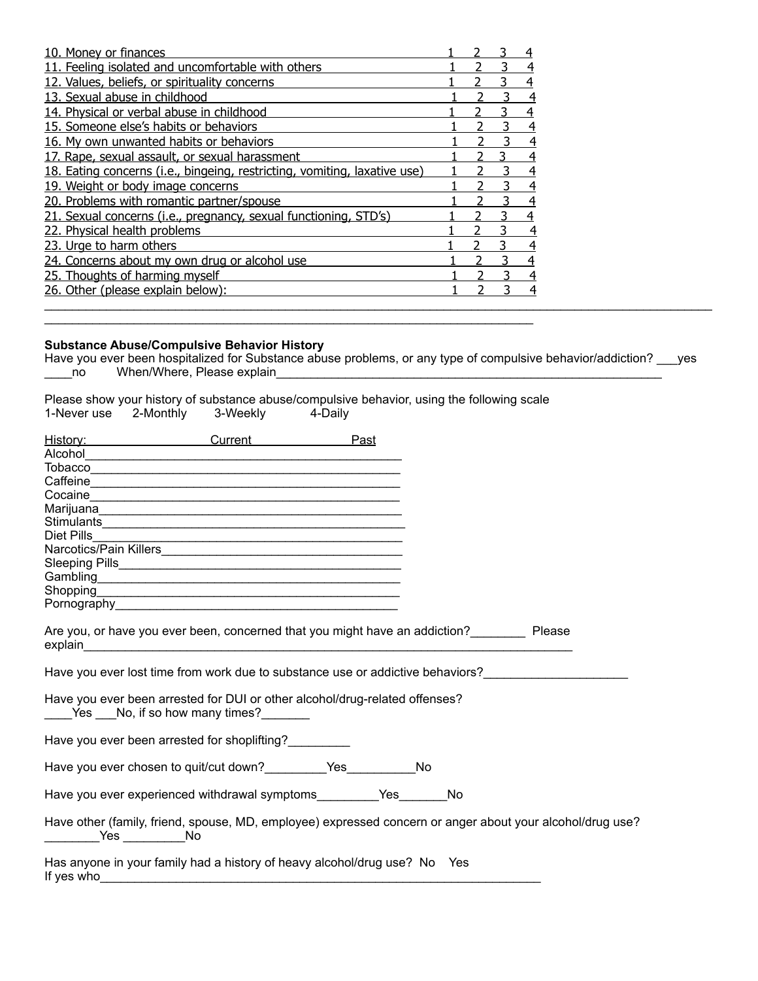| 10. Money or finances                                                     |  |  |
|---------------------------------------------------------------------------|--|--|
| 11. Feeling isolated and uncomfortable with others                        |  |  |
| 12. Values, beliefs, or spirituality concerns                             |  |  |
| 13. Sexual abuse in childhood                                             |  |  |
| 14. Physical or verbal abuse in childhood                                 |  |  |
| 15. Someone else's habits or behaviors                                    |  |  |
| 16. My own unwanted habits or behaviors                                   |  |  |
| 17. Rape, sexual assault, or sexual harassment                            |  |  |
| 18. Eating concerns (i.e., bingeing, restricting, vomiting, laxative use) |  |  |
| 19. Weight or body image concerns                                         |  |  |
| 20. Problems with romantic partner/spouse                                 |  |  |
| 21. Sexual concerns (i.e., pregnancy, sexual functioning, STD's)          |  |  |
| 22. Physical health problems                                              |  |  |
| 23. Urge to harm others                                                   |  |  |
| 24. Concerns about my own drug or alcohol use                             |  |  |
| 25. Thoughts of harming myself                                            |  |  |
| 26. Other (please explain below):                                         |  |  |
|                                                                           |  |  |

## **Substance Abuse/Compulsive Behavior History**

Have you ever been hospitalized for Substance abuse problems, or any type of compulsive behavior/addiction? \_\_\_yes \_\_\_\_no When/Where, Please explain\_\_\_\_\_\_\_\_\_\_\_\_\_\_\_\_\_\_\_\_\_\_\_\_\_\_\_\_\_\_\_\_\_\_\_\_\_\_\_\_\_\_\_\_\_\_\_\_\_\_\_\_\_\_\_\_

Please show your history of substance abuse/compulsive behavior, using the following scale 1-Never use 2-Monthly 3-Weekly 4-Daily

 $\_$  ,  $\_$  ,  $\_$  ,  $\_$  ,  $\_$  ,  $\_$  ,  $\_$  ,  $\_$  ,  $\_$  ,  $\_$  ,  $\_$  ,  $\_$  ,  $\_$  ,  $\_$  ,  $\_$  ,  $\_$  ,  $\_$  ,  $\_$  ,  $\_$  ,  $\_$  ,  $\_$  ,  $\_$  ,  $\_$  ,  $\_$  ,  $\_$  ,  $\_$  ,  $\_$  ,  $\_$  ,  $\_$  ,  $\_$  ,  $\_$  ,  $\_$  ,  $\_$  ,  $\_$  ,  $\_$  ,  $\_$  ,  $\_$  ,

|            | History: Past                                                                                                         |    |           |  |
|------------|-----------------------------------------------------------------------------------------------------------------------|----|-----------|--|
|            |                                                                                                                       |    |           |  |
|            |                                                                                                                       |    |           |  |
|            |                                                                                                                       |    |           |  |
|            |                                                                                                                       |    |           |  |
|            |                                                                                                                       |    |           |  |
|            |                                                                                                                       |    |           |  |
| Diet Pills | <u> 1989 - Johann Barn, amerikan berkema dalam penyanyi dan berkema dalam pengaran berkema dalam pengaran berkema</u> |    |           |  |
|            |                                                                                                                       |    |           |  |
|            |                                                                                                                       |    |           |  |
|            |                                                                                                                       |    |           |  |
|            |                                                                                                                       |    |           |  |
|            |                                                                                                                       |    |           |  |
|            | Are you, or have you ever been, concerned that you might have an addiction?<br>Please                                 |    |           |  |
|            | Have you ever lost time from work due to substance use or addictive behaviors?                                        |    |           |  |
|            | Have you ever been arrested for DUI or other alcohol/drug-related offenses?<br>Yes No, if so how many times?          |    |           |  |
|            | Have you ever been arrested for shoplifting?                                                                          |    |           |  |
|            | Have you ever chosen to quit/cut down?___________Yes___________                                                       | No |           |  |
|            | Have you ever experienced withdrawal symptoms_________Yes_______                                                      |    | <b>No</b> |  |
|            | Have other (family, friend, spouse, MD, employee) expressed concern or anger about your alcohol/drug use?             |    |           |  |
| If yes who | Has anyone in your family had a history of heavy alcohol/drug use? No Yes                                             |    |           |  |